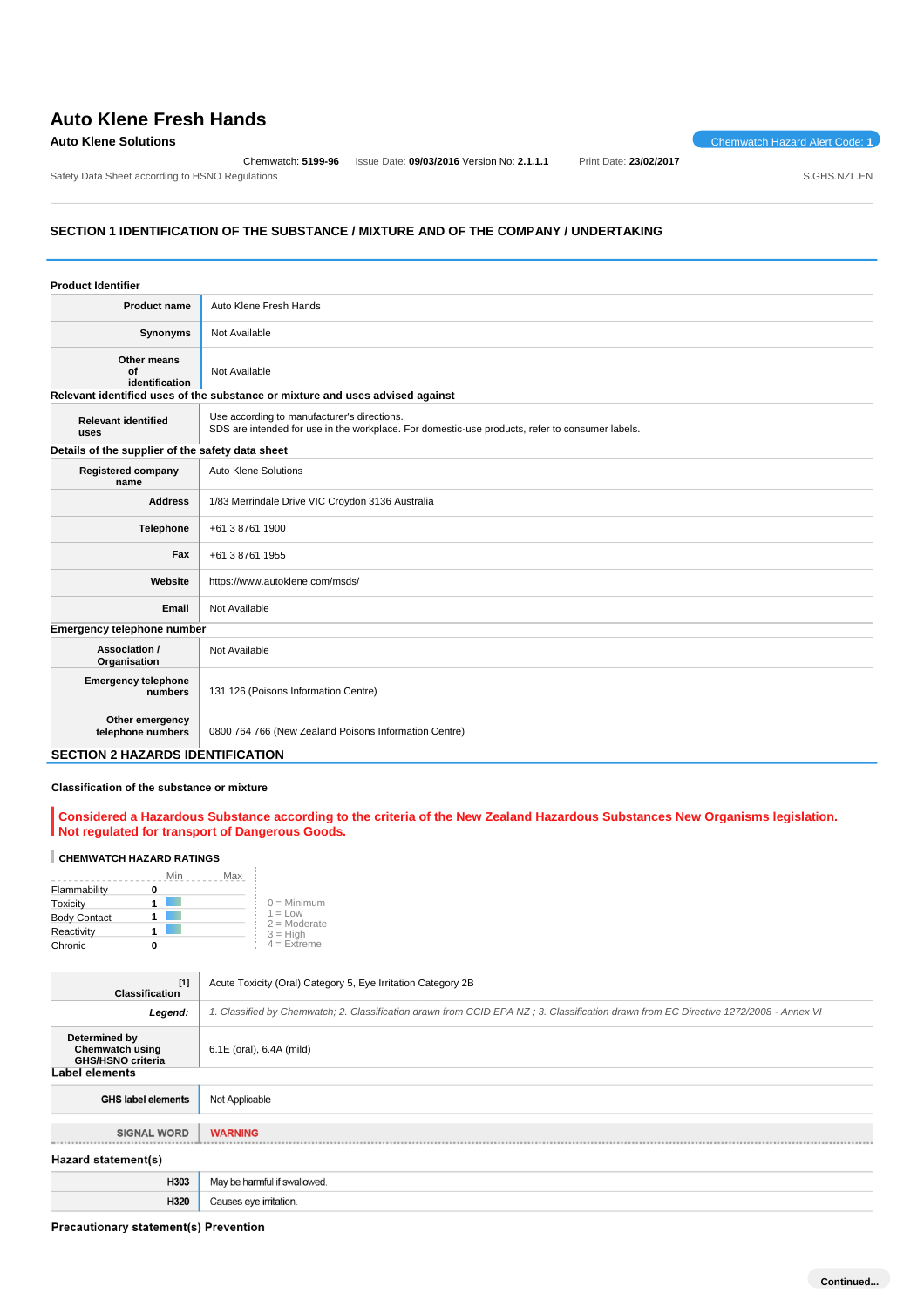# **Auto Klene Fresh Hands**

#### **Auto Klene Solutions** Chemwatch Hazard Alert Code: 1

Safety Data Sheet according to HSNO Regulations **SAFET ACCORDING THE SET ACCORD** SAFET ACCORD SOMETHER SAFET ACCORDING SAFET ACCORDING SAFET ACCORDING SAFET ACCORDING SAFET ACCORDING SAFET ACCORDING SAFET ACCORDING SAFET A

Chemwatch: **5199-96** Issue Date: **09/03/2016** Version No: **2.1.1.1** Print Date: **23/02/2017**

#### **SECTION 1 IDENTIFICATION OF THE SUBSTANCE / MIXTURE AND OF THE COMPANY / UNDERTAKING**

| <b>Product Identifier</b>                        |                                                                                                                                                |
|--------------------------------------------------|------------------------------------------------------------------------------------------------------------------------------------------------|
| <b>Product name</b>                              | Auto Klene Fresh Hands                                                                                                                         |
| Synonyms                                         | Not Available                                                                                                                                  |
| Other means<br>Ωf<br>identification              | Not Available                                                                                                                                  |
|                                                  | Relevant identified uses of the substance or mixture and uses advised against                                                                  |
| <b>Relevant identified</b><br>uses               | Use according to manufacturer's directions.<br>SDS are intended for use in the workplace. For domestic-use products, refer to consumer labels. |
| Details of the supplier of the safety data sheet |                                                                                                                                                |
| <b>Registered company</b><br>name                | Auto Klene Solutions                                                                                                                           |
| <b>Address</b>                                   | 1/83 Merrindale Drive VIC Croydon 3136 Australia                                                                                               |
| <b>Telephone</b>                                 | +61 3 8761 1900                                                                                                                                |
| Fax                                              | +61 3 8761 1955                                                                                                                                |
| Website                                          | https://www.autoklene.com/msds/                                                                                                                |
| Email                                            | Not Available                                                                                                                                  |
| Emergency telephone number                       |                                                                                                                                                |
| Association /<br>Organisation                    | Not Available                                                                                                                                  |
| <b>Emergency telephone</b><br>numbers            | 131 126 (Poisons Information Centre)                                                                                                           |
| Other emergency<br>telephone numbers             | 0800 764 766 (New Zealand Poisons Information Centre)                                                                                          |

#### **SECTION 2 HAZARDS IDENTIFICATION**

### **Classification of the substance or mixture**

**Considered a Hazardous Substance according to the criteria of the New Zealand Hazardous Substances New Organisms legislation. Not regulated for transport of Dangerous Goods.**

#### **CHEMWATCH HAZARD RATINGS**

|                     | Min<br>Max |                             |
|---------------------|------------|-----------------------------|
| Flammability        |            |                             |
| Toxicity            |            | $0 =$ Minimum               |
| <b>Body Contact</b> |            | $1 = Low$<br>$2 =$ Moderate |
| Reactivity          |            | $3 = High$                  |
| Chronic             |            | $4 =$ Extreme               |

| $[1]$<br><b>Classification</b>                                      | Acute Toxicity (Oral) Category 5, Eye Irritation Category 2B                                                                         |  |
|---------------------------------------------------------------------|--------------------------------------------------------------------------------------------------------------------------------------|--|
| Legend:                                                             | 1. Classified by Chemwatch; 2. Classification drawn from CCID EPA NZ; 3. Classification drawn from EC Directive 1272/2008 - Annex VI |  |
| Determined by<br><b>Chemwatch using</b><br><b>GHS/HSNO criteria</b> | 6.1E (oral), 6.4A (mild)                                                                                                             |  |
| Label elements                                                      |                                                                                                                                      |  |
| <b>GHS label elements</b>                                           | Not Applicable                                                                                                                       |  |
|                                                                     |                                                                                                                                      |  |
| <b>SIGNAL WORD</b>                                                  | <b>WARNING</b>                                                                                                                       |  |
| Hazard statement(s)                                                 |                                                                                                                                      |  |
| H303                                                                | May be harmful if swallowed.                                                                                                         |  |
| H320                                                                | Causes eye irritation.                                                                                                               |  |

Precautionary statement(s) Prevention

**Continued...**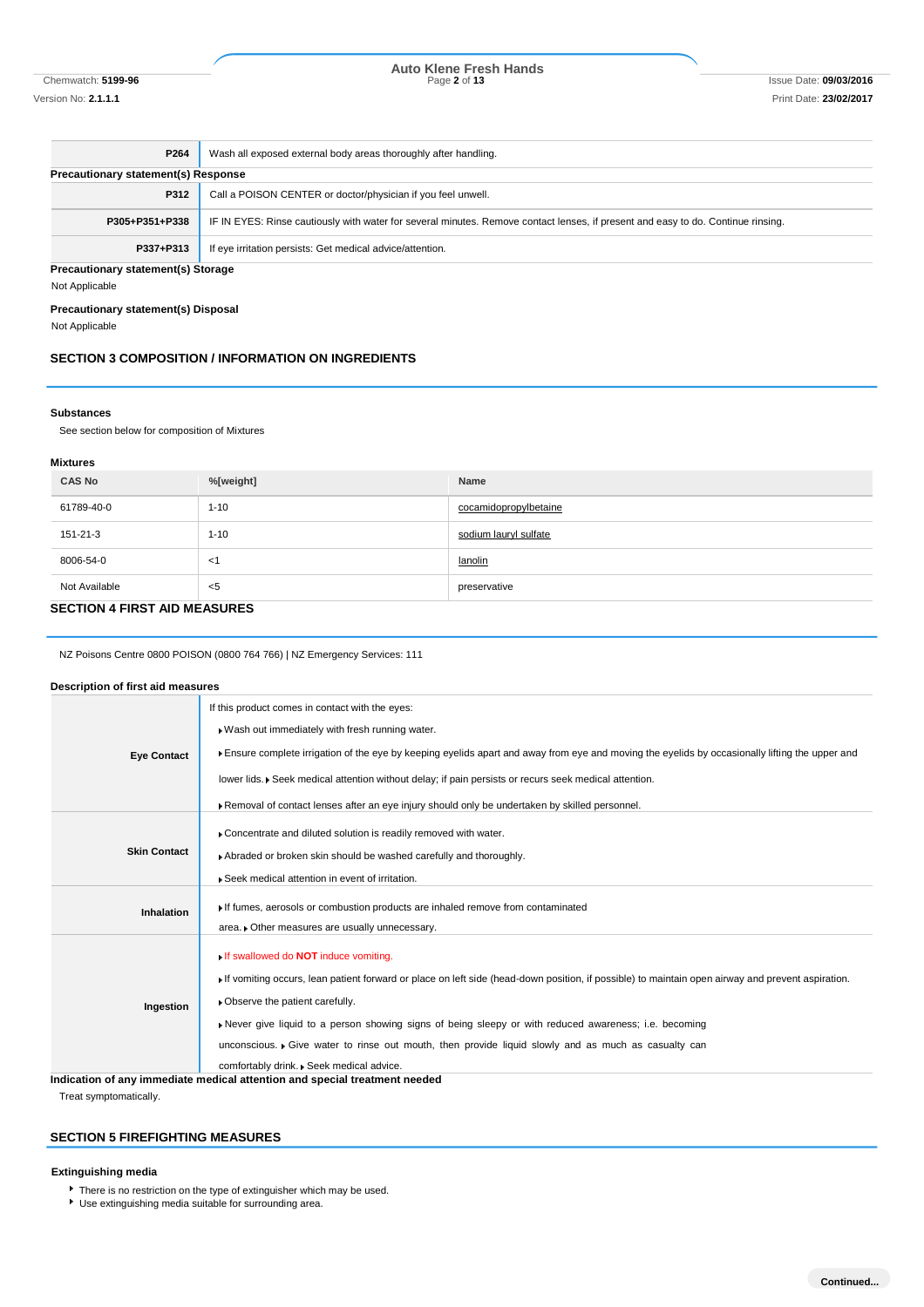Chemwatch: **5199-96** Page **2** of **13** Issue Date: **09/03/2016 Auto Klene Fresh Hands**

| P264                                       | Wash all exposed external body areas thoroughly after handling.                                                                  |  |
|--------------------------------------------|----------------------------------------------------------------------------------------------------------------------------------|--|
| <b>Precautionary statement(s) Response</b> |                                                                                                                                  |  |
| P312                                       | Call a POISON CENTER or doctor/physician if you feel unwell.                                                                     |  |
| P305+P351+P338                             | IF IN EYES: Rinse cautiously with water for several minutes. Remove contact lenses, if present and easy to do. Continue rinsing. |  |
| P337+P313                                  | If eye irritation persists: Get medical advice/attention.                                                                        |  |
| Precautionary statement(s) Storage         |                                                                                                                                  |  |

Not Applicable

#### **Precautionary statement(s) Disposal**

Not Applicable

#### **SECTION 3 COMPOSITION / INFORMATION ON INGREDIENTS**

#### **Substances**

See section below for composition of Mixtures

#### **Mixtures**

| <b>CAS No</b>                       | %[weight] | Name                  |
|-------------------------------------|-----------|-----------------------|
| 61789-40-0                          | $1 - 10$  | cocamidopropylbetaine |
| 151-21-3                            | $1 - 10$  | sodium lauryl sulfate |
| 8006-54-0                           | <1        | lanolin               |
| Not Available                       | <5        | preservative          |
| <b>CECTION 4 EIDST AID MEACHDES</b> |           |                       |

#### **SECTION 4 FIRST AID MEASURES**

NZ Poisons Centre 0800 POISON (0800 764 766) | NZ Emergency Services: 111

#### **Description of first aid measures**

| <b>Eye Contact</b>  | If this product comes in contact with the eyes:                                                                                                  |
|---------------------|--------------------------------------------------------------------------------------------------------------------------------------------------|
|                     | . Wash out immediately with fresh running water.                                                                                                 |
|                     | Ensure complete irrigation of the eye by keeping eyelids apart and away from eye and moving the eyelids by occasionally lifting the upper and    |
|                     | lower lids. • Seek medical attention without delay; if pain persists or recurs seek medical attention.                                           |
|                     | ▶ Removal of contact lenses after an eye injury should only be undertaken by skilled personnel.                                                  |
|                     | Concentrate and diluted solution is readily removed with water.                                                                                  |
| <b>Skin Contact</b> | Abraded or broken skin should be washed carefully and thoroughly.                                                                                |
|                     | Seek medical attention in event of irritation.                                                                                                   |
|                     | If fumes, aerosols or combustion products are inhaled remove from contaminated                                                                   |
| <b>Inhalation</b>   | area. • Other measures are usually unnecessary.                                                                                                  |
|                     |                                                                                                                                                  |
|                     | If swallowed do <b>NOT</b> induce vomiting.                                                                                                      |
|                     | If vomiting occurs, lean patient forward or place on left side (head-down position, if possible) to maintain open airway and prevent aspiration. |
| Ingestion           | • Observe the patient carefully.                                                                                                                 |
|                     | Never give liquid to a person showing signs of being sleepy or with reduced awareness; i.e. becoming                                             |
|                     | unconscious. • Give water to rinse out mouth, then provide liquid slowly and as much as casualty can                                             |
|                     | comfortably drink. Seek medical advice.                                                                                                          |
|                     | Indication of any immediate medical attention and special treatment needed                                                                       |

Treat symptomatically.

#### **SECTION 5 FIREFIGHTING MEASURES**

#### **Extinguishing media**

There is no restriction on the type of extinguisher which may be used. Use extinguishing media suitable for surrounding area.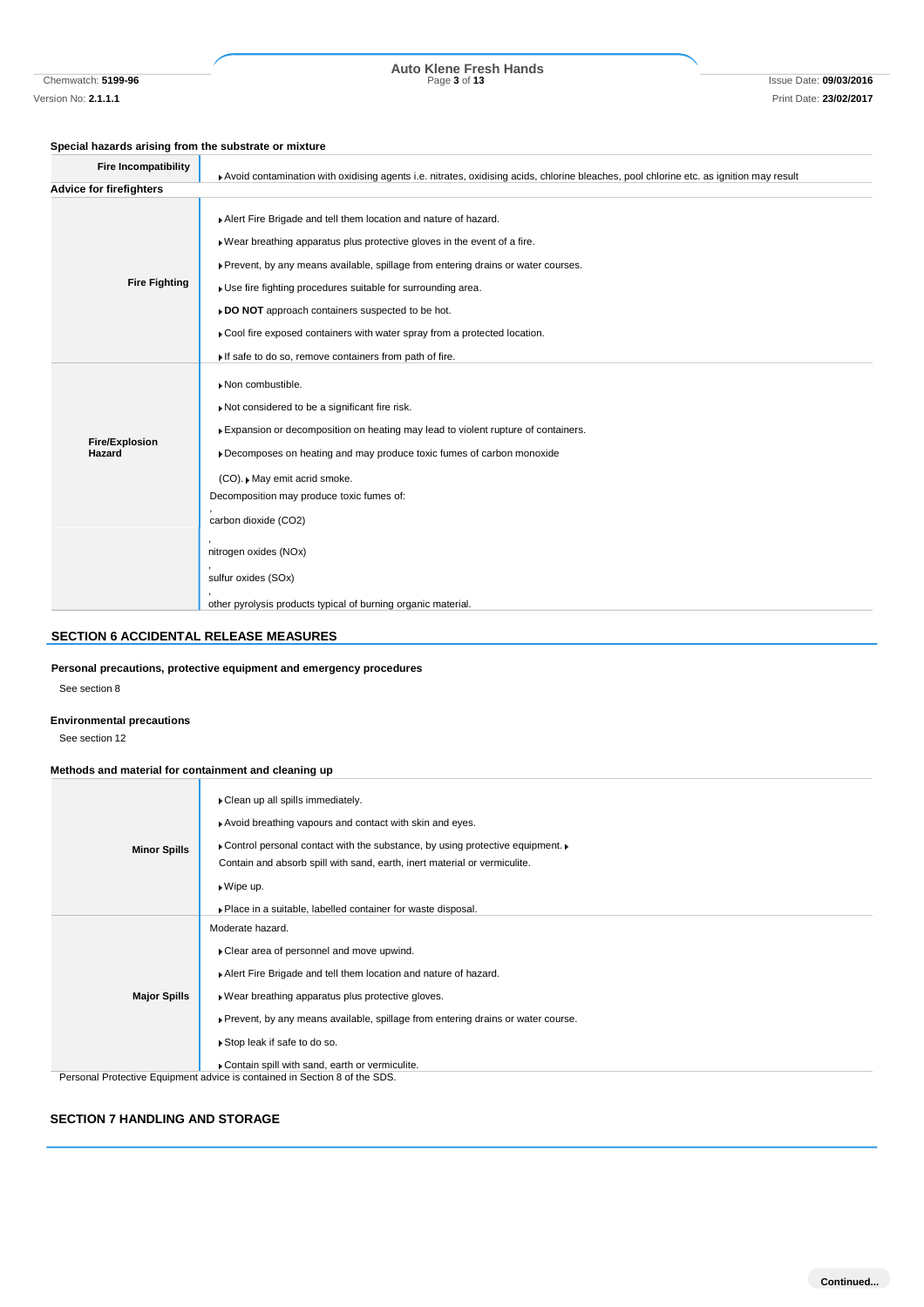Chemwatch: **5199-96** Page **3** of **13** Issue Date: **09/03/2016 Auto Klene Fresh Hands**

#### **Special hazards arising from the substrate or mixture**

| <b>Fire Incompatibility</b>     | Avoid contamination with oxidising agents i.e. nitrates, oxidising acids, chlorine bleaches, pool chlorine etc. as ignition may result                                                                                                                                                                                                                                                                                                                                                     |
|---------------------------------|--------------------------------------------------------------------------------------------------------------------------------------------------------------------------------------------------------------------------------------------------------------------------------------------------------------------------------------------------------------------------------------------------------------------------------------------------------------------------------------------|
| <b>Advice for firefighters</b>  |                                                                                                                                                                                                                                                                                                                                                                                                                                                                                            |
| <b>Fire Fighting</b>            | Alert Fire Brigade and tell them location and nature of hazard.<br>. Wear breathing apparatus plus protective gloves in the event of a fire.<br>Prevent, by any means available, spillage from entering drains or water courses.<br>Use fire fighting procedures suitable for surrounding area.<br>» DO NOT approach containers suspected to be hot.<br>Cool fire exposed containers with water spray from a protected location.<br>If safe to do so, remove containers from path of fire. |
| <b>Fire/Explosion</b><br>Hazard | Non combustible.<br>Not considered to be a significant fire risk.<br>Expansion or decomposition on heating may lead to violent rupture of containers.<br>Decomposes on heating and may produce toxic fumes of carbon monoxide<br>(CO). May emit acrid smoke.<br>Decomposition may produce toxic fumes of:<br>carbon dioxide (CO2)<br>nitrogen oxides (NOx)<br>sulfur oxides (SOx)                                                                                                          |
|                                 | other pyrolysis products typical of burning organic material.                                                                                                                                                                                                                                                                                                                                                                                                                              |

### **SECTION 6 ACCIDENTAL RELEASE MEASURES**

#### **Personal precautions, protective equipment and emergency procedures**

See section 8

#### **Environmental precautions**

See section 12

#### **Methods and material for containment and cleaning up**

| <b>Minor Spills</b> | Clean up all spills immediately.<br>Avoid breathing vapours and contact with skin and eyes.<br>$\triangleright$ Control personal contact with the substance, by using protective equipment. $\triangleright$<br>Contain and absorb spill with sand, earth, inert material or vermiculite.<br>▶ Wipe up.<br>▶ Place in a suitable, labelled container for waste disposal. |
|---------------------|--------------------------------------------------------------------------------------------------------------------------------------------------------------------------------------------------------------------------------------------------------------------------------------------------------------------------------------------------------------------------|
| <b>Major Spills</b> | Moderate hazard.<br>▶ Clear area of personnel and move upwind.<br>Alert Fire Brigade and tell them location and nature of hazard.<br>▶ Wear breathing apparatus plus protective gloves.<br>▶ Prevent, by any means available, spillage from entering drains or water course.<br>▶ Stop leak if safe to do so.<br>Contain spill with sand, earth or vermiculite.          |
|                     | Personal Protective Equipment advice is contained in Section 8 of the SDS.                                                                                                                                                                                                                                                                                               |

#### **SECTION 7 HANDLING AND STORAGE**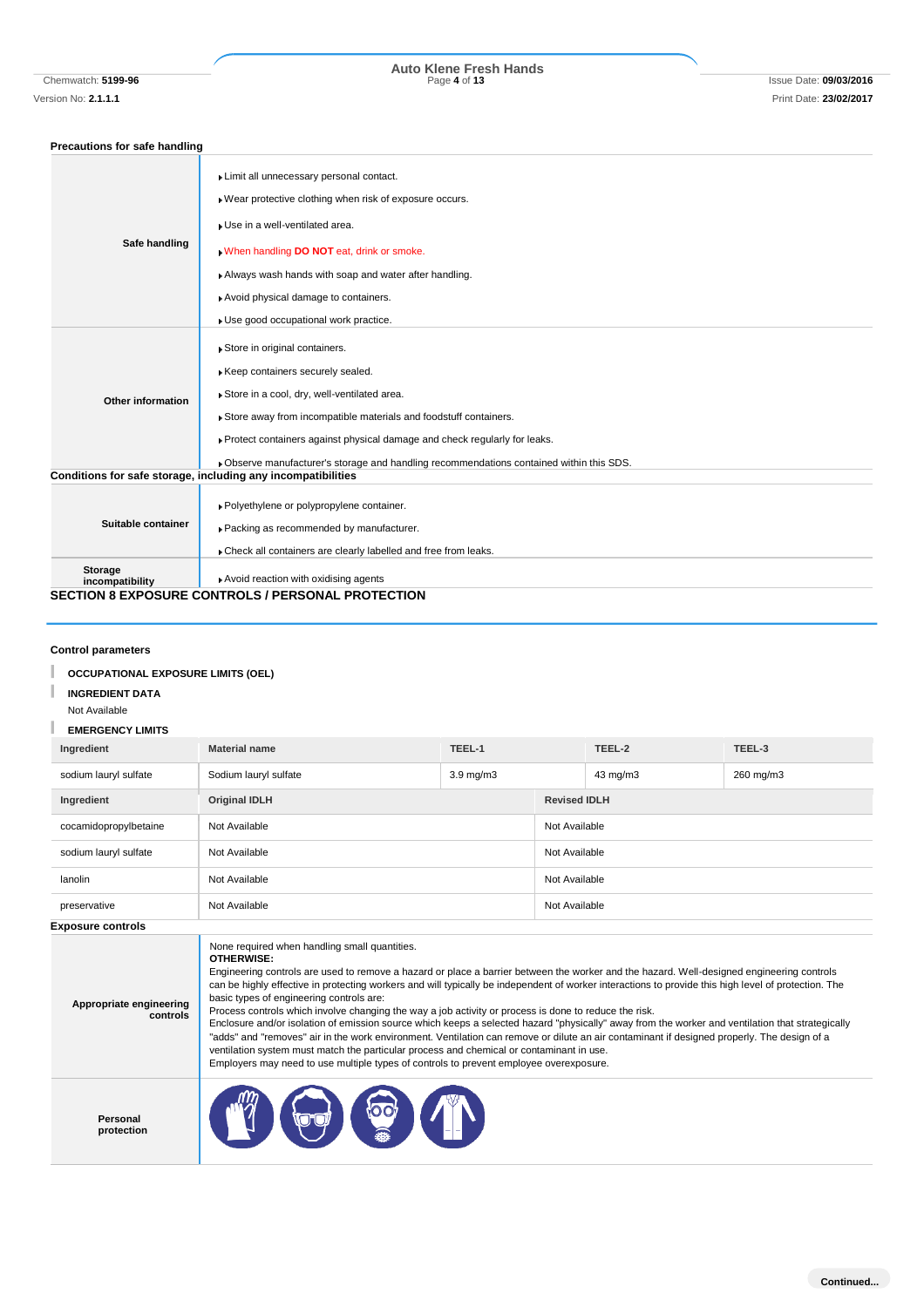# Chemwatch: **5199-96** Page **4** of **13** Issue Date: **09/03/2016 Auto Klene Fresh Hands**

### **Precautions for safe handling**

| Safe handling              | Limit all unnecessary personal contact.                                                  |
|----------------------------|------------------------------------------------------------------------------------------|
|                            | ▶ Wear protective clothing when risk of exposure occurs.                                 |
|                            | Use in a well-ventilated area.                                                           |
|                            | . When handling DO NOT eat, drink or smoke.                                              |
|                            | Always wash hands with soap and water after handling.                                    |
|                            | Avoid physical damage to containers.                                                     |
|                            | Use good occupational work practice.                                                     |
|                            | Store in original containers.                                                            |
|                            |                                                                                          |
|                            | Keep containers securely sealed.                                                         |
| Other information          | Store in a cool, dry, well-ventilated area.                                              |
|                            | Store away from incompatible materials and foodstuff containers.                         |
|                            | Protect containers against physical damage and check regularly for leaks.                |
|                            | . Observe manufacturer's storage and handling recommendations contained within this SDS. |
|                            | Conditions for safe storage, including any incompatibilities                             |
|                            | ▶ Polyethylene or polypropylene container.                                               |
| Suitable container         | Packing as recommended by manufacturer.                                                  |
|                            | Check all containers are clearly labelled and free from leaks.                           |
| Storage<br>incompatibility | Avoid reaction with oxidising agents                                                     |
|                            | <b>SECTION 8 EXPOSURE CONTROLS / PERSONAL PROTECTION</b>                                 |
|                            |                                                                                          |

### **Control parameters**

#### **OCCUPATIONAL EXPOSURE LIMITS (OEL)** I

#### **INGREDIENT DATA**

#### Not Available

#### п **EMERGENCY LIMITS**

| Ingredient               | <b>Material name</b>  | TEEL-1             |                     | TEEL-2        | TEEL-3    |
|--------------------------|-----------------------|--------------------|---------------------|---------------|-----------|
| sodium lauryl sulfate    | Sodium lauryl sulfate | $3.9 \text{ mg/m}$ |                     | 43 mg/m3      | 260 mg/m3 |
| Ingredient               | <b>Original IDLH</b>  |                    | <b>Revised IDLH</b> |               |           |
| cocamidopropylbetaine    | Not Available         |                    | Not Available       |               |           |
| sodium lauryl sulfate    | Not Available         |                    |                     | Not Available |           |
| lanolin                  | Not Available         |                    | Not Available       |               |           |
| preservative             | Not Available         |                    | Not Available       |               |           |
| <b>Exposure controls</b> |                       |                    |                     |               |           |

| Appropriate engineering<br>controls | None required when handling small quantities.<br><b>OTHERWISE:</b><br>Engineering controls are used to remove a hazard or place a barrier between the worker and the hazard. Well-designed engineering controls<br>can be highly effective in protecting workers and will typically be independent of worker interactions to provide this high level of protection. The<br>basic types of engineering controls are:<br>Process controls which involve changing the way a job activity or process is done to reduce the risk.<br>Enclosure and/or isolation of emission source which keeps a selected hazard "physically" away from the worker and ventilation that strategically<br>"adds" and "removes" air in the work environment. Ventilation can remove or dilute an air contaminant if designed properly. The design of a<br>ventilation system must match the particular process and chemical or contaminant in use.<br>Employers may need to use multiple types of controls to prevent employee overexposure. |
|-------------------------------------|-----------------------------------------------------------------------------------------------------------------------------------------------------------------------------------------------------------------------------------------------------------------------------------------------------------------------------------------------------------------------------------------------------------------------------------------------------------------------------------------------------------------------------------------------------------------------------------------------------------------------------------------------------------------------------------------------------------------------------------------------------------------------------------------------------------------------------------------------------------------------------------------------------------------------------------------------------------------------------------------------------------------------|
| Personal<br>protection              | <b>POD</b>                                                                                                                                                                                                                                                                                                                                                                                                                                                                                                                                                                                                                                                                                                                                                                                                                                                                                                                                                                                                            |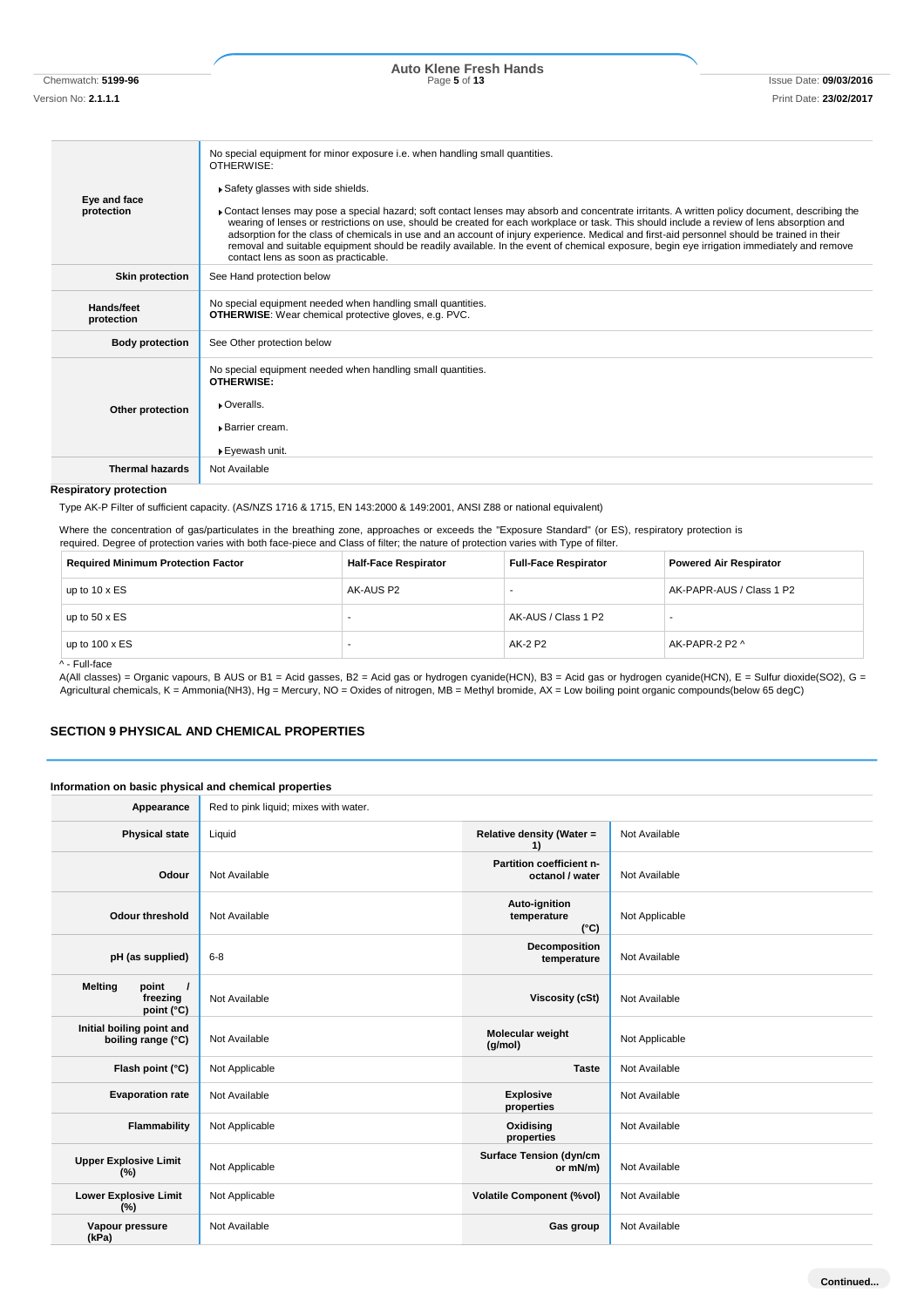Chemwatch: **5199-96** Page **5** of **13** Issue Date: **09/03/2016 Auto Klene Fresh Hands**

| Eye and face<br>protection | No special equipment for minor exposure i.e. when handling small quantities.<br>OTHERWISE:<br>Safety glasses with side shields.<br>Contact lenses may pose a special hazard; soft contact lenses may absorb and concentrate irritants. A written policy document, describing the<br>wearing of lenses or restrictions on use, should be created for each workplace or task. This should include a review of lens absorption and<br>adsorption for the class of chemicals in use and an account of injury experience. Medical and first-aid personnel should be trained in their<br>removal and suitable equipment should be readily available. In the event of chemical exposure, begin eye irrigation immediately and remove<br>contact lens as soon as practicable. |
|----------------------------|-----------------------------------------------------------------------------------------------------------------------------------------------------------------------------------------------------------------------------------------------------------------------------------------------------------------------------------------------------------------------------------------------------------------------------------------------------------------------------------------------------------------------------------------------------------------------------------------------------------------------------------------------------------------------------------------------------------------------------------------------------------------------|
| <b>Skin protection</b>     | See Hand protection below                                                                                                                                                                                                                                                                                                                                                                                                                                                                                                                                                                                                                                                                                                                                             |
| Hands/feet<br>protection   | No special equipment needed when handling small quantities.<br><b>OTHERWISE:</b> Wear chemical protective gloves, e.g. PVC.                                                                                                                                                                                                                                                                                                                                                                                                                                                                                                                                                                                                                                           |
| <b>Body protection</b>     | See Other protection below                                                                                                                                                                                                                                                                                                                                                                                                                                                                                                                                                                                                                                                                                                                                            |
| Other protection           | No special equipment needed when handling small quantities.<br>OTHERWISE:<br>• Overalls.<br>▶ Barrier cream.<br>▶ Eyewash unit.                                                                                                                                                                                                                                                                                                                                                                                                                                                                                                                                                                                                                                       |
| <b>Thermal hazards</b>     | Not Available                                                                                                                                                                                                                                                                                                                                                                                                                                                                                                                                                                                                                                                                                                                                                         |

### **Respiratory protection**

Type AK-P Filter of sufficient capacity. (AS/NZS 1716 & 1715, EN 143:2000 & 149:2001, ANSI Z88 or national equivalent)

Where the concentration of gas/particulates in the breathing zone, approaches or exceeds the "Exposure Standard" (or ES), respiratory protection is required. Degree of protection varies with both face-piece and Class of filter; the nature of protection varies with Type of filter.

| <b>Required Minimum Protection Factor</b>         | <b>Half-Face Respirator</b> | <b>Full-Face Respirator</b> | <b>Powered Air Respirator</b> |
|---------------------------------------------------|-----------------------------|-----------------------------|-------------------------------|
| up to $10 \times ES$                              | AK-AUS P2                   |                             | AK-PAPR-AUS / Class 1 P2      |
| up to $50 \times ES$                              |                             | AK-AUS / Class 1 P2         |                               |
| up to $100 \times ES$<br>$\cdot$ $ \cdot$ $\cdot$ |                             | AK-2 P2                     | AK-PAPR-2 P2 ^                |

^ - Full-face

A(All classes) = Organic vapours, B AUS or B1 = Acid gasses, B2 = Acid gas or hydrogen cyanide(HCN), B3 = Acid gas or hydrogen cyanide(HCN), E = Sulfur dioxide(SO2), G = Agricultural chemicals, K = Ammonia(NH3), Hg = Mercury, NO = Oxides of nitrogen, MB = Methyl bromide, AX = Low boiling point organic compounds(below 65 degC)

#### **SECTION 9 PHYSICAL AND CHEMICAL PROPERTIES**

#### **Information on basic physical and chemical properties**

| Appearance                                                    | Red to pink liquid; mixes with water. |                                               |                |
|---------------------------------------------------------------|---------------------------------------|-----------------------------------------------|----------------|
| <b>Physical state</b>                                         | Liquid                                | Relative density (Water =<br>1)               | Not Available  |
| Odour                                                         | Not Available                         | Partition coefficient n-<br>octanol / water   | Not Available  |
| <b>Odour threshold</b>                                        | Not Available                         | Auto-ignition<br>temperature<br>$(^{\circ}C)$ | Not Applicable |
| pH (as supplied)                                              | $6 - 8$                               | Decomposition<br>temperature                  | Not Available  |
| <b>Melting</b><br>point<br>$\prime$<br>freezing<br>point (°C) | Not Available                         | <b>Viscosity (cSt)</b>                        | Not Available  |
| Initial boiling point and<br>boiling range (°C)               | Not Available                         | Molecular weight<br>(g/mol)                   | Not Applicable |
| Flash point (°C)                                              | Not Applicable                        | <b>Taste</b>                                  | Not Available  |
| <b>Evaporation rate</b>                                       | Not Available                         | <b>Explosive</b><br>properties                | Not Available  |
| Flammability                                                  | Not Applicable                        | Oxidising<br>properties                       | Not Available  |
| <b>Upper Explosive Limit</b><br>(%)                           | Not Applicable                        | <b>Surface Tension (dyn/cm</b><br>or mN/m)    | Not Available  |
| <b>Lower Explosive Limit</b><br>(%)                           | Not Applicable                        | <b>Volatile Component (%vol)</b>              | Not Available  |
| Vapour pressure<br>(kPa)                                      | Not Available                         | Gas group                                     | Not Available  |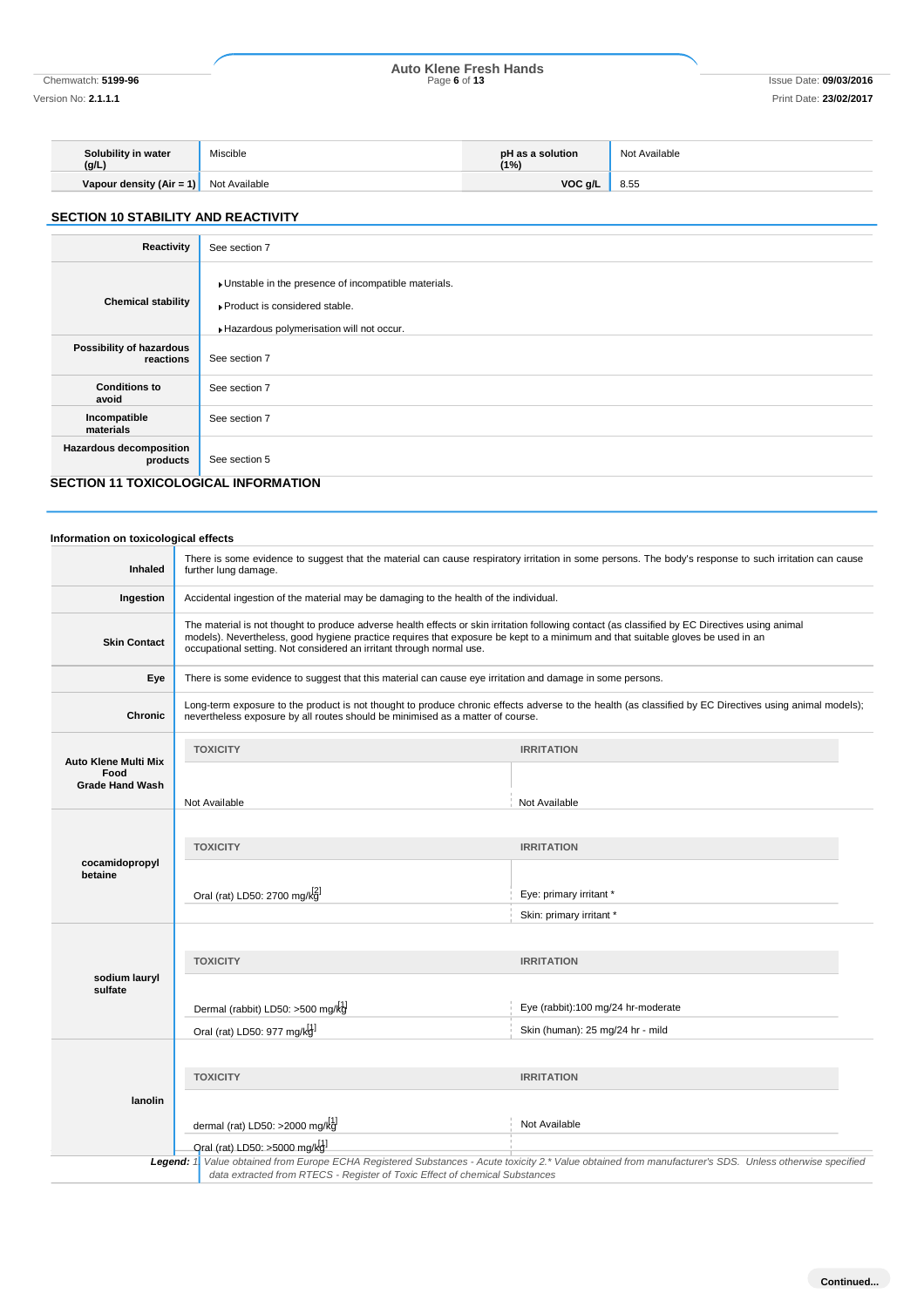## Chemwatch: **5199-96** Page **6** of **13** Issue Date: **09/03/2016 Auto Klene Fresh Hands**

Version No: **2.1.1.1** Print Date: **23/02/2017**

| Solubility in water<br>(g/L) | Miscible      | pH as a solution<br>'1%) | Not Available |
|------------------------------|---------------|--------------------------|---------------|
| Vapour density (Air = 1)     | Not Available | VOC <sub>g</sub> /L      | 8.55          |

## **SECTION 10 STABILITY AND REACTIVITY**

| Reactivity                                  | See section 7                                                                                                                      |
|---------------------------------------------|------------------------------------------------------------------------------------------------------------------------------------|
| <b>Chemical stability</b>                   | Unstable in the presence of incompatible materials.<br>▶ Product is considered stable.<br>Hazardous polymerisation will not occur. |
| Possibility of hazardous<br>reactions       | See section 7                                                                                                                      |
| <b>Conditions to</b><br>avoid               | See section 7                                                                                                                      |
| Incompatible<br>materials                   | See section 7                                                                                                                      |
| <b>Hazardous decomposition</b><br>products  | See section 5                                                                                                                      |
| <b>SECTION 11 TOXICOLOGICAL INFORMATION</b> |                                                                                                                                    |

## **Information on toxicological effects**

| <b>Inhaled</b>                 | further lung damage.                                                                                                                                                                                                                                                                                                                                       | There is some evidence to suggest that the material can cause respiratory irritation in some persons. The body's response to such irritation can cause |  |
|--------------------------------|------------------------------------------------------------------------------------------------------------------------------------------------------------------------------------------------------------------------------------------------------------------------------------------------------------------------------------------------------------|--------------------------------------------------------------------------------------------------------------------------------------------------------|--|
| Ingestion                      | Accidental ingestion of the material may be damaging to the health of the individual.                                                                                                                                                                                                                                                                      |                                                                                                                                                        |  |
| <b>Skin Contact</b>            | The material is not thought to produce adverse health effects or skin irritation following contact (as classified by EC Directives using animal<br>models). Nevertheless, good hygiene practice requires that exposure be kept to a minimum and that suitable gloves be used in an<br>occupational setting. Not considered an irritant through normal use. |                                                                                                                                                        |  |
| Eye                            |                                                                                                                                                                                                                                                                                                                                                            | There is some evidence to suggest that this material can cause eye irritation and damage in some persons.                                              |  |
| Chronic                        | Long-term exposure to the product is not thought to produce chronic effects adverse to the health (as classified by EC Directives using animal models);<br>nevertheless exposure by all routes should be minimised as a matter of course.                                                                                                                  |                                                                                                                                                        |  |
| Auto Klene Multi Mix           | <b>TOXICITY</b>                                                                                                                                                                                                                                                                                                                                            | <b>IRRITATION</b>                                                                                                                                      |  |
| Food<br><b>Grade Hand Wash</b> |                                                                                                                                                                                                                                                                                                                                                            |                                                                                                                                                        |  |
|                                | Not Available                                                                                                                                                                                                                                                                                                                                              | Not Available                                                                                                                                          |  |
| cocamidopropyl                 | <b>TOXICITY</b>                                                                                                                                                                                                                                                                                                                                            | <b>IRRITATION</b>                                                                                                                                      |  |
| betaine                        | Oral (rat) LD50: 2700 mg/kg                                                                                                                                                                                                                                                                                                                                | Eye: primary irritant *<br>Skin: primary irritant *                                                                                                    |  |
|                                |                                                                                                                                                                                                                                                                                                                                                            |                                                                                                                                                        |  |
| sodium lauryl                  | <b>TOXICITY</b>                                                                                                                                                                                                                                                                                                                                            | <b>IRRITATION</b>                                                                                                                                      |  |
| sulfate                        |                                                                                                                                                                                                                                                                                                                                                            |                                                                                                                                                        |  |
|                                | Dermal (rabbit) LD50: >500 mg/kg                                                                                                                                                                                                                                                                                                                           | Eye (rabbit):100 mg/24 hr-moderate                                                                                                                     |  |
|                                | Oral (rat) LD50: 977 mg/kgl                                                                                                                                                                                                                                                                                                                                | Skin (human): 25 mg/24 hr - mild                                                                                                                       |  |
|                                |                                                                                                                                                                                                                                                                                                                                                            |                                                                                                                                                        |  |
|                                | <b>TOXICITY</b>                                                                                                                                                                                                                                                                                                                                            | <b>IRRITATION</b>                                                                                                                                      |  |
| lanolin                        |                                                                                                                                                                                                                                                                                                                                                            |                                                                                                                                                        |  |
|                                | dermal (rat) LD50: >2000 mg/ $kg[1]$                                                                                                                                                                                                                                                                                                                       | Not Available                                                                                                                                          |  |
|                                | Qral (rat) LD50: >5000 mg/kd                                                                                                                                                                                                                                                                                                                               |                                                                                                                                                        |  |
|                                | Legend: 1<br>data extracted from RTECS - Register of Toxic Effect of chemical Substances                                                                                                                                                                                                                                                                   | Value obtained from Europe ECHA Registered Substances - Acute toxicity 2.* Value obtained from manufacturer's SDS. Unless otherwise specified          |  |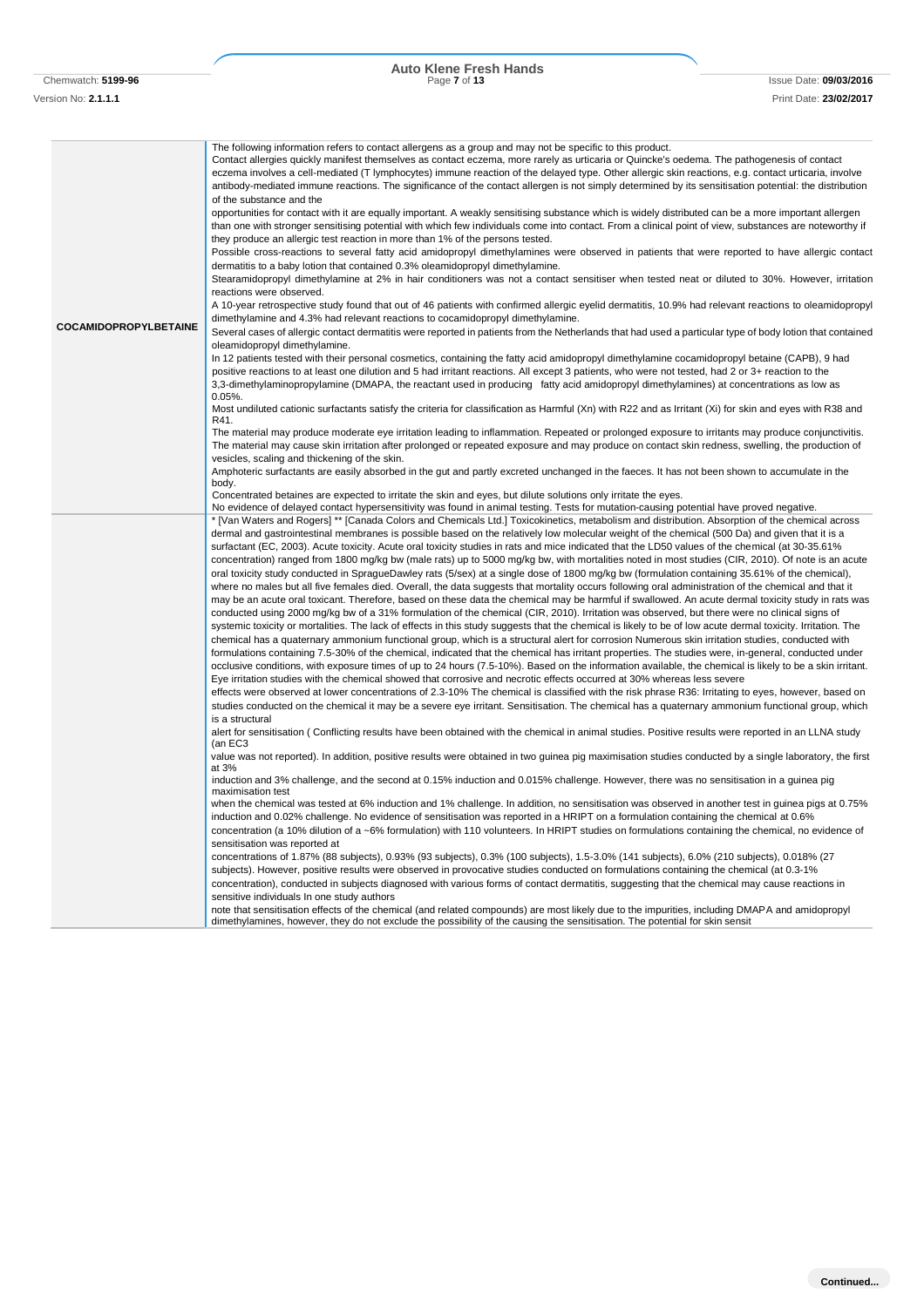Chemwatch: **5199-96** Page **7** of **13** Issue Date: **09/03/2016 Auto Klene Fresh Hands**

| <b>COCAMIDOPROPYLBETAINE</b> | The following information refers to contact allergens as a group and may not be specific to this product.<br>Contact allergies quickly manifest themselves as contact eczema, more rarely as urticaria or Quincke's oedema. The pathogenesis of contact<br>eczema involves a cell-mediated (T lymphocytes) immune reaction of the delayed type. Other allergic skin reactions, e.g. contact urticaria, involve<br>antibody-mediated immune reactions. The significance of the contact allergen is not simply determined by its sensitisation potential: the distribution<br>of the substance and the<br>opportunities for contact with it are equally important. A weakly sensitising substance which is widely distributed can be a more important allergen<br>than one with stronger sensitising potential with which few individuals come into contact. From a clinical point of view, substances are noteworthy if<br>they produce an allergic test reaction in more than 1% of the persons tested.<br>Possible cross-reactions to several fatty acid amidopropyl dimethylamines were observed in patients that were reported to have allergic contact<br>dermatitis to a baby lotion that contained 0.3% oleamidopropyl dimethylamine.<br>Stearamidopropyl dimethylamine at 2% in hair conditioners was not a contact sensitiser when tested neat or diluted to 30%. However, irritation<br>reactions were observed.<br>A 10-year retrospective study found that out of 46 patients with confirmed allergic eyelid dermatitis, 10.9% had relevant reactions to oleamidopropyl<br>dimethylamine and 4.3% had relevant reactions to cocamidopropyl dimethylamine.<br>Several cases of allergic contact dermatitis were reported in patients from the Netherlands that had used a particular type of body lotion that contained<br>oleamidopropyl dimethylamine.<br>In 12 patients tested with their personal cosmetics, containing the fatty acid amidopropyl dimethylamine cocamidopropyl betaine (CAPB), 9 had<br>positive reactions to at least one dilution and 5 had irritant reactions. All except 3 patients, who were not tested, had 2 or 3+ reaction to the<br>3,3-dimethylaminopropylamine (DMAPA, the reactant used in producing fatty acid amidopropyl dimethylamines) at concentrations as low as<br>$0.05%$ .<br>Most undiluted cationic surfactants satisfy the criteria for classification as Harmful (Xn) with R22 and as Irritant (Xi) for skin and eyes with R38 and<br>R41.<br>The material may produce moderate eye irritation leading to inflammation. Repeated or prolonged exposure to irritants may produce conjunctivitis.<br>The material may cause skin irritation after prolonged or repeated exposure and may produce on contact skin redness, swelling, the production of<br>vesicles, scaling and thickening of the skin.<br>Amphoteric surfactants are easily absorbed in the gut and partly excreted unchanged in the faeces. It has not been shown to accumulate in the<br>body.<br>Concentrated betaines are expected to irritate the skin and eyes, but dilute solutions only irritate the eyes.<br>No evidence of delayed contact hypersensitivity was found in animal testing. Tests for mutation-causing potential have proved negative.<br>* [Van Waters and Rogers] ** [Canada Colors and Chemicals Ltd.] Toxicokinetics, metabolism and distribution. Absorption of the chemical across<br>dermal and gastrointestinal membranes is possible based on the relatively low molecular weight of the chemical (500 Da) and given that it is a<br>surfactant (EC, 2003). Acute toxicity. Acute oral toxicity studies in rats and mice indicated that the LD50 values of the chemical (at 30-35.61%<br>concentration) ranged from 1800 mg/kg bw (male rats) up to 5000 mg/kg bw, with mortalities noted in most studies (CIR, 2010). Of note is an acute |
|------------------------------|---------------------------------------------------------------------------------------------------------------------------------------------------------------------------------------------------------------------------------------------------------------------------------------------------------------------------------------------------------------------------------------------------------------------------------------------------------------------------------------------------------------------------------------------------------------------------------------------------------------------------------------------------------------------------------------------------------------------------------------------------------------------------------------------------------------------------------------------------------------------------------------------------------------------------------------------------------------------------------------------------------------------------------------------------------------------------------------------------------------------------------------------------------------------------------------------------------------------------------------------------------------------------------------------------------------------------------------------------------------------------------------------------------------------------------------------------------------------------------------------------------------------------------------------------------------------------------------------------------------------------------------------------------------------------------------------------------------------------------------------------------------------------------------------------------------------------------------------------------------------------------------------------------------------------------------------------------------------------------------------------------------------------------------------------------------------------------------------------------------------------------------------------------------------------------------------------------------------------------------------------------------------------------------------------------------------------------------------------------------------------------------------------------------------------------------------------------------------------------------------------------------------------------------------------------------------------------------------------------------------------------------------------------------------------------------------------------------------------------------------------------------------------------------------------------------------------------------------------------------------------------------------------------------------------------------------------------------------------------------------------------------------------------------------------------------------------------------------------------------------------------------------------------------------------------------------------------------------------------------------------------------------------------------------------------------------------------------------------------------------------------------------------------------------------------------------------------------------------------------------------------------------------------------------------------------------------------------------------------------------------------------------------------------------------------------------------------------------------------------------------------------------------------------------------------------------------------------------------------------------------------------------------|
|                              | oral toxicity study conducted in SpragueDawley rats (5/sex) at a single dose of 1800 mg/kg bw (formulation containing 35.61% of the chemical),<br>where no males but all five females died. Overall, the data suggests that mortality occurs following oral administration of the chemical and that it<br>may be an acute oral toxicant. Therefore, based on these data the chemical may be harmful if swallowed. An acute dermal toxicity study in rats was<br>conducted using 2000 mg/kg bw of a 31% formulation of the chemical (CIR, 2010). Irritation was observed, but there were no clinical signs of<br>systemic toxicity or mortalities. The lack of effects in this study suggests that the chemical is likely to be of low acute dermal toxicity. Irritation. The<br>chemical has a quaternary ammonium functional group, which is a structural alert for corrosion Numerous skin irritation studies, conducted with<br>formulations containing 7.5-30% of the chemical, indicated that the chemical has irritant properties. The studies were, in-general, conducted under<br>occlusive conditions, with exposure times of up to 24 hours (7.5-10%). Based on the information available, the chemical is likely to be a skin irritant.<br>Eye irritation studies with the chemical showed that corrosive and necrotic effects occurred at 30% whereas less severe<br>effects were observed at lower concentrations of 2.3-10% The chemical is classified with the risk phrase R36: Irritating to eyes, however, based on<br>studies conducted on the chemical it may be a severe eye irritant. Sensitisation. The chemical has a quaternary ammonium functional group, which                                                                                                                                                                                                                                                                                                                                                                                                                                                                                                                                                                                                                                                                                                                                                                                                                                                                                                                                                                                                                                                                                                                                                                                                                                                                                                                                                                                                                                                                                                                                                                                                                                                                                                                                                                                                                                                                                                                                                                                                                                                                                                                                                                                                          |
|                              | is a structural<br>alert for sensitisation (Conflicting results have been obtained with the chemical in animal studies. Positive results were reported in an LLNA study<br>(an EC3<br>value was not reported). In addition, positive results were obtained in two guinea pig maximisation studies conducted by a single laboratory, the first                                                                                                                                                                                                                                                                                                                                                                                                                                                                                                                                                                                                                                                                                                                                                                                                                                                                                                                                                                                                                                                                                                                                                                                                                                                                                                                                                                                                                                                                                                                                                                                                                                                                                                                                                                                                                                                                                                                                                                                                                                                                                                                                                                                                                                                                                                                                                                                                                                                                                                                                                                                                                                                                                                                                                                                                                                                                                                                                                                                                                                                                                                                                                                                                                                                                                                                                                                                                                                                                                                                                                     |
|                              | at 3%<br>induction and 3% challenge, and the second at 0.15% induction and 0.015% challenge. However, there was no sensitisation in a guinea pig<br>maximisation test<br>when the chemical was tested at 6% induction and 1% challenge. In addition, no sensitisation was observed in another test in guinea pigs at 0.75%<br>induction and 0.02% challenge. No evidence of sensitisation was reported in a HRIPT on a formulation containing the chemical at 0.6%<br>concentration (a 10% dilution of a ~6% formulation) with 110 volunteers. In HRIPT studies on formulations containing the chemical, no evidence of                                                                                                                                                                                                                                                                                                                                                                                                                                                                                                                                                                                                                                                                                                                                                                                                                                                                                                                                                                                                                                                                                                                                                                                                                                                                                                                                                                                                                                                                                                                                                                                                                                                                                                                                                                                                                                                                                                                                                                                                                                                                                                                                                                                                                                                                                                                                                                                                                                                                                                                                                                                                                                                                                                                                                                                                                                                                                                                                                                                                                                                                                                                                                                                                                                                                           |
|                              | sensitisation was reported at<br>concentrations of 1.87% (88 subjects), 0.93% (93 subjects), 0.3% (100 subjects), 1.5-3.0% (141 subjects), 6.0% (210 subjects), 0.018% (27<br>subjects). However, positive results were observed in provocative studies conducted on formulations containing the chemical (at 0.3-1%<br>concentration), conducted in subjects diagnosed with various forms of contact dermatitis, suggesting that the chemical may cause reactions in<br>sensitive individuals In one study authors                                                                                                                                                                                                                                                                                                                                                                                                                                                                                                                                                                                                                                                                                                                                                                                                                                                                                                                                                                                                                                                                                                                                                                                                                                                                                                                                                                                                                                                                                                                                                                                                                                                                                                                                                                                                                                                                                                                                                                                                                                                                                                                                                                                                                                                                                                                                                                                                                                                                                                                                                                                                                                                                                                                                                                                                                                                                                                                                                                                                                                                                                                                                                                                                                                                                                                                                                                               |

note that sensitisation effects of the chemical (and related compounds) are most likely due to the impurities, including DMAPA and amidopropyl<br>dimethylamines, however, they do not exclude the possibility of the causing the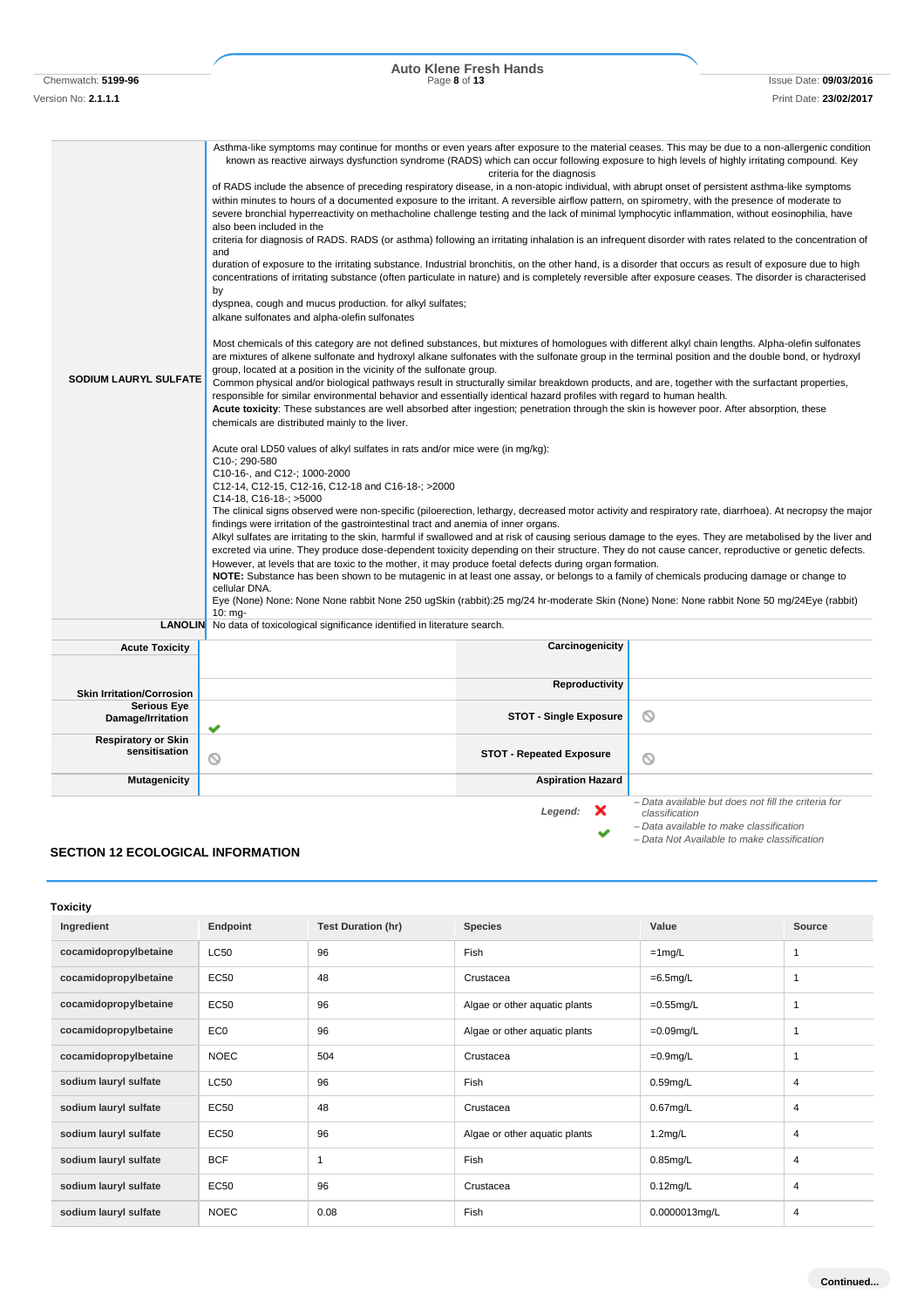Chemwatch: **5199-96** Page **8** of **13** Issue Date: **09/03/2016 Auto Klene Fresh Hands**

Version No: **2.1.1.1** Print Date: **23/02/2017**

| <b>SODIUM LAURYL SULFATE</b>                | Asthma-like symptoms may continue for months or even years after exposure to the material ceases. This may be due to a non-allergenic condition<br>known as reactive airways dysfunction syndrome (RADS) which can occur following exposure to high levels of highly irritating compound. Key<br>of RADS include the absence of preceding respiratory disease, in a non-atopic individual, with abrupt onset of persistent asthma-like symptoms<br>within minutes to hours of a documented exposure to the irritant. A reversible airflow pattern, on spirometry, with the presence of moderate to<br>severe bronchial hyperreactivity on methacholine challenge testing and the lack of minimal lymphocytic inflammation, without eosinophilia, have<br>also been included in the<br>criteria for diagnosis of RADS. RADS (or asthma) following an irritating inhalation is an infrequent disorder with rates related to the concentration of<br>and<br>duration of exposure to the irritating substance. Industrial bronchitis, on the other hand, is a disorder that occurs as result of exposure due to high<br>concentrations of irritating substance (often particulate in nature) and is completely reversible after exposure ceases. The disorder is characterised<br>by<br>dyspnea, cough and mucus production. for alkyl sulfates;<br>alkane sulfonates and alpha-olefin sulfonates<br>Most chemicals of this category are not defined substances, but mixtures of homologues with different alkyl chain lengths. Alpha-olefin sulfonates<br>are mixtures of alkene sulfonate and hydroxyl alkane sulfonates with the sulfonate group in the terminal position and the double bond, or hydroxyl<br>group, located at a position in the vicinity of the sulfonate group.<br>Common physical and/or biological pathways result in structurally similar breakdown products, and are, together with the surfactant properties,<br>responsible for similar environmental behavior and essentially identical hazard profiles with regard to human health.<br>Acute toxicity: These substances are well absorbed after ingestion; penetration through the skin is however poor. After absorption, these<br>chemicals are distributed mainly to the liver.<br>Acute oral LD50 values of alkyl sulfates in rats and/or mice were (in mg/kg):<br>C10-: 290-580<br>C10-16-, and C12-; 1000-2000<br>C12-14, C12-15, C12-16, C12-18 and C16-18-; >2000<br>$C14-18$ , $C16-18$ : $>5000$<br>The clinical signs observed were non-specific (piloerection, lethargy, decreased motor activity and respiratory rate, diarrhoea). At necropsy the major<br>findings were irritation of the gastrointestinal tract and anemia of inner organs.<br>Alkyl sulfates are irritating to the skin, harmful if swallowed and at risk of causing serious damage to the eyes. They are metabolised by the liver and<br>excreted via urine. They produce dose-dependent toxicity depending on their structure. They do not cause cancer, reproductive or genetic defects.<br>However, at levels that are toxic to the mother, it may produce foetal defects during organ formation.<br>NOTE: Substance has been shown to be mutagenic in at least one assay, or belongs to a family of chemicals producing damage or change to<br>cellular DNA.<br>Eye (None) None: None None rabbit None 250 ugSkin (rabbit):25 mg/24 hr-moderate Skin (None) None: None rabbit None 50 mg/24Eye (rabbit) | criteria for the diagnosis      |                                                                                                                                                                 |
|---------------------------------------------|-------------------------------------------------------------------------------------------------------------------------------------------------------------------------------------------------------------------------------------------------------------------------------------------------------------------------------------------------------------------------------------------------------------------------------------------------------------------------------------------------------------------------------------------------------------------------------------------------------------------------------------------------------------------------------------------------------------------------------------------------------------------------------------------------------------------------------------------------------------------------------------------------------------------------------------------------------------------------------------------------------------------------------------------------------------------------------------------------------------------------------------------------------------------------------------------------------------------------------------------------------------------------------------------------------------------------------------------------------------------------------------------------------------------------------------------------------------------------------------------------------------------------------------------------------------------------------------------------------------------------------------------------------------------------------------------------------------------------------------------------------------------------------------------------------------------------------------------------------------------------------------------------------------------------------------------------------------------------------------------------------------------------------------------------------------------------------------------------------------------------------------------------------------------------------------------------------------------------------------------------------------------------------------------------------------------------------------------------------------------------------------------------------------------------------------------------------------------------------------------------------------------------------------------------------------------------------------------------------------------------------------------------------------------------------------------------------------------------------------------------------------------------------------------------------------------------------------------------------------------------------------------------------------------------------------------------------------------------------------------------------------------------------------------------------------------------------------------------------------------------------------------------------------------------------------------------------------------------------------------------------------------------------------------------------------------------------------------------------------------------------------------------------------------------------------------------------------------------|---------------------------------|-----------------------------------------------------------------------------------------------------------------------------------------------------------------|
|                                             | $10:$ mg-<br><b>LANOLIN</b> No data of toxicological significance identified in literature search.                                                                                                                                                                                                                                                                                                                                                                                                                                                                                                                                                                                                                                                                                                                                                                                                                                                                                                                                                                                                                                                                                                                                                                                                                                                                                                                                                                                                                                                                                                                                                                                                                                                                                                                                                                                                                                                                                                                                                                                                                                                                                                                                                                                                                                                                                                                                                                                                                                                                                                                                                                                                                                                                                                                                                                                                                                                                                                                                                                                                                                                                                                                                                                                                                                                                                                                                                                      |                                 |                                                                                                                                                                 |
|                                             |                                                                                                                                                                                                                                                                                                                                                                                                                                                                                                                                                                                                                                                                                                                                                                                                                                                                                                                                                                                                                                                                                                                                                                                                                                                                                                                                                                                                                                                                                                                                                                                                                                                                                                                                                                                                                                                                                                                                                                                                                                                                                                                                                                                                                                                                                                                                                                                                                                                                                                                                                                                                                                                                                                                                                                                                                                                                                                                                                                                                                                                                                                                                                                                                                                                                                                                                                                                                                                                                         |                                 |                                                                                                                                                                 |
| <b>Acute Toxicity</b>                       |                                                                                                                                                                                                                                                                                                                                                                                                                                                                                                                                                                                                                                                                                                                                                                                                                                                                                                                                                                                                                                                                                                                                                                                                                                                                                                                                                                                                                                                                                                                                                                                                                                                                                                                                                                                                                                                                                                                                                                                                                                                                                                                                                                                                                                                                                                                                                                                                                                                                                                                                                                                                                                                                                                                                                                                                                                                                                                                                                                                                                                                                                                                                                                                                                                                                                                                                                                                                                                                                         | Carcinogenicity                 |                                                                                                                                                                 |
| <b>Skin Irritation/Corrosion</b>            |                                                                                                                                                                                                                                                                                                                                                                                                                                                                                                                                                                                                                                                                                                                                                                                                                                                                                                                                                                                                                                                                                                                                                                                                                                                                                                                                                                                                                                                                                                                                                                                                                                                                                                                                                                                                                                                                                                                                                                                                                                                                                                                                                                                                                                                                                                                                                                                                                                                                                                                                                                                                                                                                                                                                                                                                                                                                                                                                                                                                                                                                                                                                                                                                                                                                                                                                                                                                                                                                         | Reproductivity                  |                                                                                                                                                                 |
| <b>Serious Eye</b>                          |                                                                                                                                                                                                                                                                                                                                                                                                                                                                                                                                                                                                                                                                                                                                                                                                                                                                                                                                                                                                                                                                                                                                                                                                                                                                                                                                                                                                                                                                                                                                                                                                                                                                                                                                                                                                                                                                                                                                                                                                                                                                                                                                                                                                                                                                                                                                                                                                                                                                                                                                                                                                                                                                                                                                                                                                                                                                                                                                                                                                                                                                                                                                                                                                                                                                                                                                                                                                                                                                         |                                 |                                                                                                                                                                 |
| Damage/Irritation                           | ✔                                                                                                                                                                                                                                                                                                                                                                                                                                                                                                                                                                                                                                                                                                                                                                                                                                                                                                                                                                                                                                                                                                                                                                                                                                                                                                                                                                                                                                                                                                                                                                                                                                                                                                                                                                                                                                                                                                                                                                                                                                                                                                                                                                                                                                                                                                                                                                                                                                                                                                                                                                                                                                                                                                                                                                                                                                                                                                                                                                                                                                                                                                                                                                                                                                                                                                                                                                                                                                                                       | <b>STOT - Single Exposure</b>   | O                                                                                                                                                               |
| <b>Respiratory or Skin</b><br>sensitisation | O                                                                                                                                                                                                                                                                                                                                                                                                                                                                                                                                                                                                                                                                                                                                                                                                                                                                                                                                                                                                                                                                                                                                                                                                                                                                                                                                                                                                                                                                                                                                                                                                                                                                                                                                                                                                                                                                                                                                                                                                                                                                                                                                                                                                                                                                                                                                                                                                                                                                                                                                                                                                                                                                                                                                                                                                                                                                                                                                                                                                                                                                                                                                                                                                                                                                                                                                                                                                                                                                       | <b>STOT - Repeated Exposure</b> | O                                                                                                                                                               |
| <b>Mutagenicity</b>                         |                                                                                                                                                                                                                                                                                                                                                                                                                                                                                                                                                                                                                                                                                                                                                                                                                                                                                                                                                                                                                                                                                                                                                                                                                                                                                                                                                                                                                                                                                                                                                                                                                                                                                                                                                                                                                                                                                                                                                                                                                                                                                                                                                                                                                                                                                                                                                                                                                                                                                                                                                                                                                                                                                                                                                                                                                                                                                                                                                                                                                                                                                                                                                                                                                                                                                                                                                                                                                                                                         | <b>Aspiration Hazard</b>        |                                                                                                                                                                 |
|                                             |                                                                                                                                                                                                                                                                                                                                                                                                                                                                                                                                                                                                                                                                                                                                                                                                                                                                                                                                                                                                                                                                                                                                                                                                                                                                                                                                                                                                                                                                                                                                                                                                                                                                                                                                                                                                                                                                                                                                                                                                                                                                                                                                                                                                                                                                                                                                                                                                                                                                                                                                                                                                                                                                                                                                                                                                                                                                                                                                                                                                                                                                                                                                                                                                                                                                                                                                                                                                                                                                         | Legend:<br>×                    | - Data available but does not fill the criteria for<br>classification<br>- Data available to make classification<br>- Data Not Available to make classification |

### **SECTION 12 ECOLOGICAL INFORMATION**

| <b>Toxicity</b>       |                 |                           |                               |               |                |
|-----------------------|-----------------|---------------------------|-------------------------------|---------------|----------------|
| Ingredient            | Endpoint        | <b>Test Duration (hr)</b> | <b>Species</b>                | Value         | Source         |
| cocamidopropylbetaine | <b>LC50</b>     | 96                        | Fish                          | $=1$ mg/L     | 1              |
| cocamidopropylbetaine | EC50            | 48                        | Crustacea                     | $=6.5$ mg/L   | 1              |
| cocamidopropylbetaine | EC50            | 96                        | Algae or other aquatic plants | $=0.55$ mg/L  | 1              |
| cocamidopropylbetaine | EC <sub>0</sub> | 96                        | Algae or other aquatic plants | $=0.09$ mg/L  | 1              |
| cocamidopropylbetaine | <b>NOEC</b>     | 504                       | Crustacea                     | $=0.9$ mg/L   | 1              |
| sodium lauryl sulfate | <b>LC50</b>     | 96                        | Fish                          | $0.59$ mg/L   | 4              |
| sodium lauryl sulfate | EC50            | 48                        | Crustacea                     | $0.67$ mg/L   | 4              |
| sodium lauryl sulfate | EC50            | 96                        | Algae or other aquatic plants | $1.2$ mg/L    | $\overline{4}$ |
| sodium lauryl sulfate | <b>BCF</b>      | 1                         | Fish                          | $0.85$ mg/L   | $\overline{4}$ |
| sodium lauryl sulfate | EC50            | 96                        | Crustacea                     | $0.12$ mg/L   | $\overline{4}$ |
| sodium lauryl sulfate | <b>NOEC</b>     | 0.08                      | Fish                          | 0.0000013mg/L | $\overline{4}$ |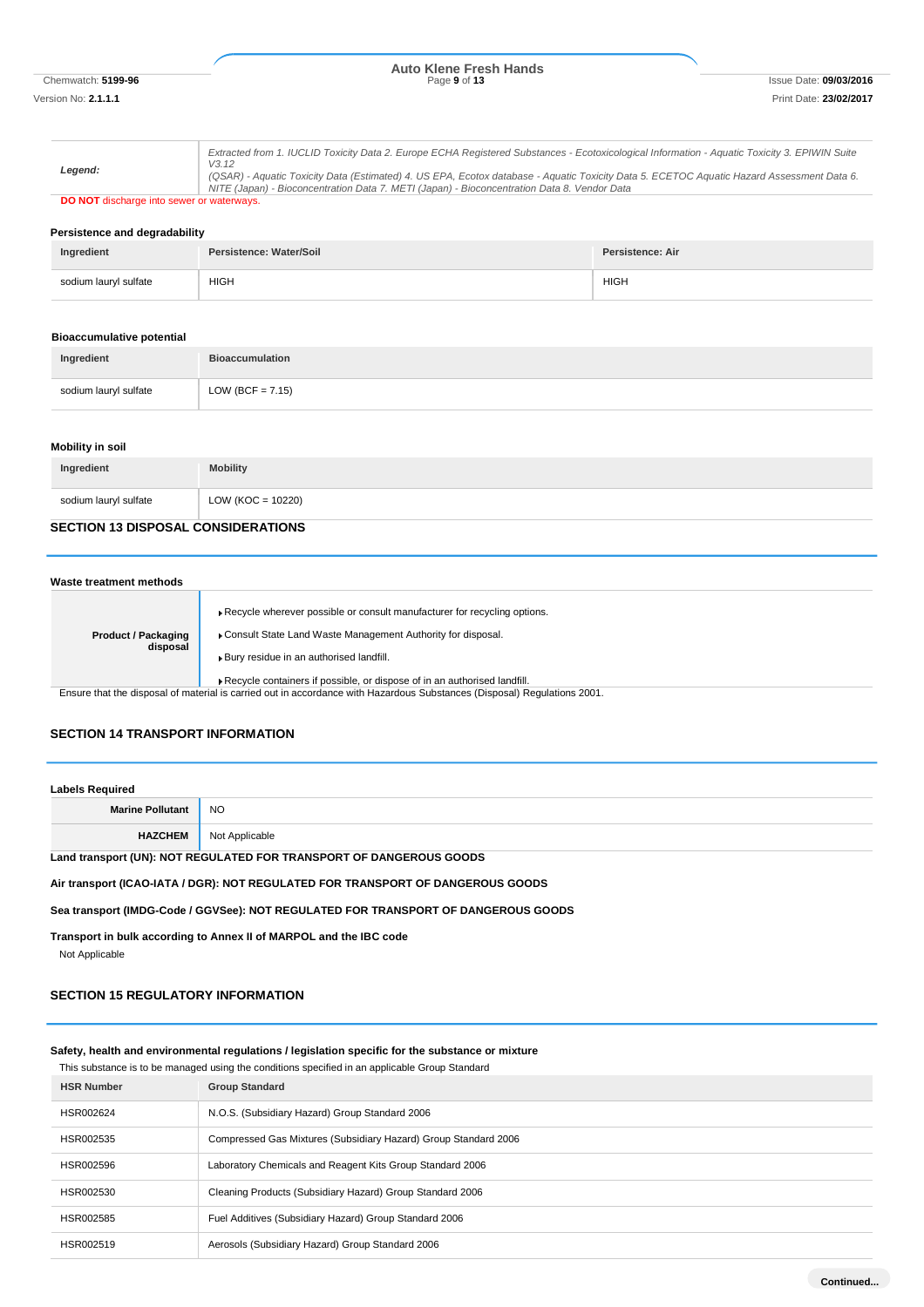# Chemwatch: **5199-96** Page **9** of **13** Issue Date: **09/03/2016 Auto Klene Fresh Hands**

|                                                  | Extracted from 1. IUCLID Toxicity Data 2. Europe ECHA Registered Substances - Ecotoxicological Information - Aquatic Toxicity 3. EPIWIN Suite<br>V3.12                                                                                   |
|--------------------------------------------------|------------------------------------------------------------------------------------------------------------------------------------------------------------------------------------------------------------------------------------------|
| Leaend:                                          | (QSAR) - Aquatic Toxicity Data (Estimated) 4. US EPA, Ecotox database - Aquatic Toxicity Data 5. ECETOC Aquatic Hazard Assessment Data 6.<br>NITE (Japan) - Bioconcentration Data 7. METI (Japan) - Bioconcentration Data 8. Vendor Data |
| <b>DO NOT</b> discharge into sewer or waterways. |                                                                                                                                                                                                                                          |

#### **Persistence and degradability**

| Ingredient            | Persistence: Water/Soil | <b>Persistence: Air</b> |
|-----------------------|-------------------------|-------------------------|
| sodium lauryl sulfate | HIGH                    | <b>HIGH</b>             |

#### **Bioaccumulative potential**

| Ingredient            | <b>Bioaccumulation</b> |
|-----------------------|------------------------|
| sodium lauryl sulfate | LOW (BCF = $7.15$ )    |

#### **Mobility in soil**

| Ingredient            | <b>Mobility</b>     |
|-----------------------|---------------------|
| sodium lauryl sulfate | $LOW (KOC = 10220)$ |
|                       |                     |

## **SECTION 13 DISPOSAL CONSIDERATIONS**

| Waste treatment methods                |                                                                                                                                                                                                                                                                |  |
|----------------------------------------|----------------------------------------------------------------------------------------------------------------------------------------------------------------------------------------------------------------------------------------------------------------|--|
| <b>Product / Packaging</b><br>disposal | Recycle wherever possible or consult manufacturer for recycling options.<br>Consult State Land Waste Management Authority for disposal.<br>Bury residue in an authorised landfill.<br>Recycle containers if possible, or dispose of in an authorised landfill. |  |

Ensure that the disposal of material is carried out in accordance with Hazardous Substances (Disposal) Regulations 2001.

#### **SECTION 14 TRANSPORT INFORMATION**

| <b>Labels Required</b>                                              |                |
|---------------------------------------------------------------------|----------------|
| <b>Marine Pollutant</b>                                             | <b>NO</b>      |
| <b>HAZCHEM</b>                                                      | Not Applicable |
| Land transport (UN): NOT REGULATED FOR TRANSPORT OF DANGEROUS GOODS |                |

**Air transport (ICAO-IATA / DGR): NOT REGULATED FOR TRANSPORT OF DANGEROUS GOODS**

**Sea transport (IMDG-Code / GGVSee): NOT REGULATED FOR TRANSPORT OF DANGEROUS GOODS**

**Transport in bulk according to Annex II of MARPOL and the IBC code**

Not Applicable

## **SECTION 15 REGULATORY INFORMATION**

#### **Safety, health and environmental regulations / legislation specific for the substance or mixture**

This substance is to be managed using the conditions specified in an applicable Group Standard

| <b>HSR Number</b> | <b>Group Standard</b>                                           |
|-------------------|-----------------------------------------------------------------|
| HSR002624         | N.O.S. (Subsidiary Hazard) Group Standard 2006                  |
| HSR002535         | Compressed Gas Mixtures (Subsidiary Hazard) Group Standard 2006 |
| HSR002596         | Laboratory Chemicals and Reagent Kits Group Standard 2006       |
| HSR002530         | Cleaning Products (Subsidiary Hazard) Group Standard 2006       |
| HSR002585         | Fuel Additives (Subsidiary Hazard) Group Standard 2006          |
| HSR002519         | Aerosols (Subsidiary Hazard) Group Standard 2006                |

**Continued...**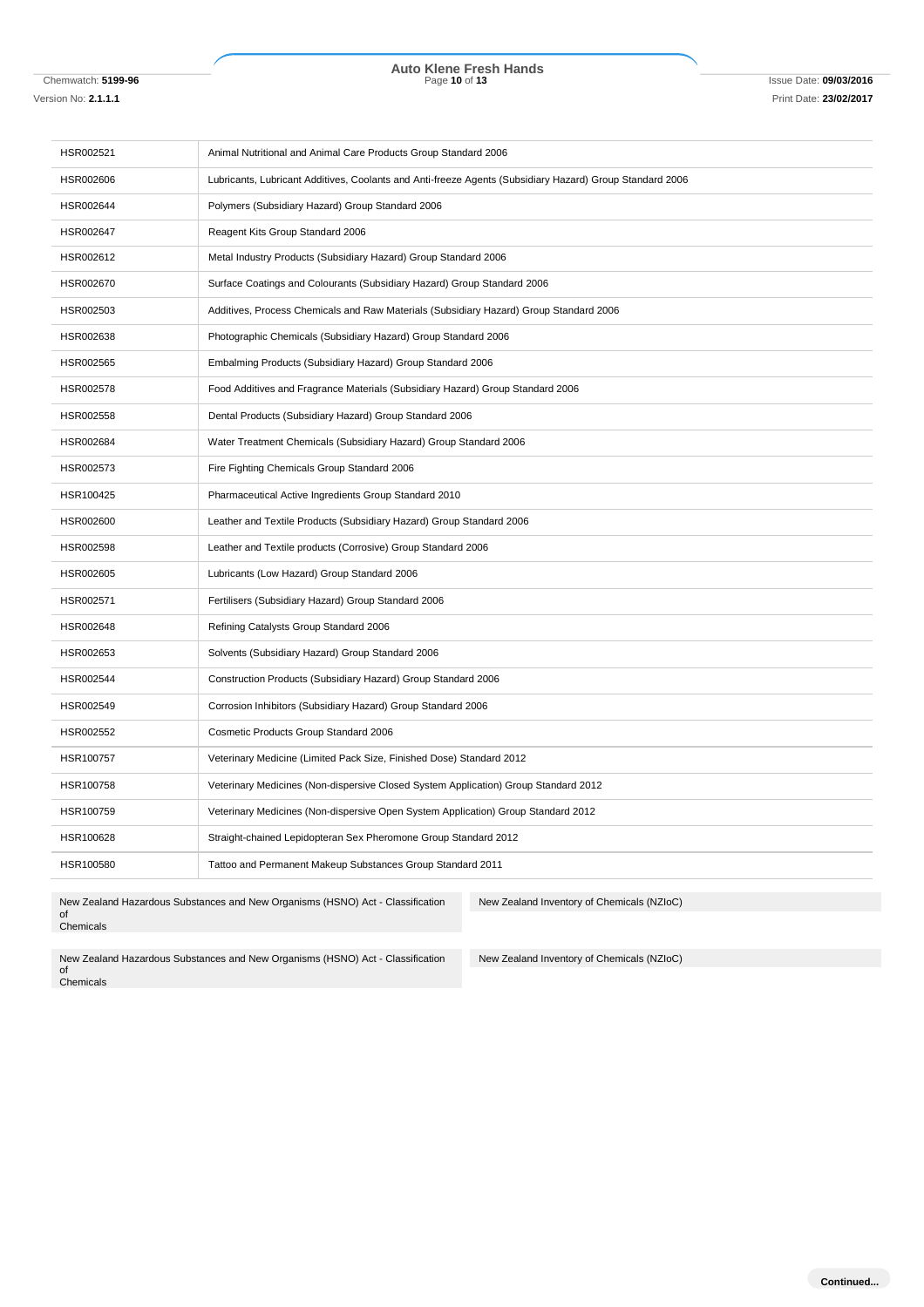# Chemwatch: **5199-96** Page **10** of **13** Issue Date: **09/03/2016 Auto Klene Fresh Hands**

Version No: **2.1.1.1** Print Date: **23/02/2017**

| HSR002521                                                                                                                    | Animal Nutritional and Animal Care Products Group Standard 2006                                          |
|------------------------------------------------------------------------------------------------------------------------------|----------------------------------------------------------------------------------------------------------|
| HSR002606                                                                                                                    | Lubricants, Lubricant Additives, Coolants and Anti-freeze Agents (Subsidiary Hazard) Group Standard 2006 |
| HSR002644                                                                                                                    | Polymers (Subsidiary Hazard) Group Standard 2006                                                         |
| HSR002647                                                                                                                    | Reagent Kits Group Standard 2006                                                                         |
| HSR002612                                                                                                                    | Metal Industry Products (Subsidiary Hazard) Group Standard 2006                                          |
| HSR002670                                                                                                                    | Surface Coatings and Colourants (Subsidiary Hazard) Group Standard 2006                                  |
| HSR002503                                                                                                                    | Additives, Process Chemicals and Raw Materials (Subsidiary Hazard) Group Standard 2006                   |
| HSR002638                                                                                                                    | Photographic Chemicals (Subsidiary Hazard) Group Standard 2006                                           |
| HSR002565                                                                                                                    | Embalming Products (Subsidiary Hazard) Group Standard 2006                                               |
| HSR002578                                                                                                                    | Food Additives and Fragrance Materials (Subsidiary Hazard) Group Standard 2006                           |
| HSR002558                                                                                                                    | Dental Products (Subsidiary Hazard) Group Standard 2006                                                  |
| HSR002684                                                                                                                    | Water Treatment Chemicals (Subsidiary Hazard) Group Standard 2006                                        |
| HSR002573                                                                                                                    | Fire Fighting Chemicals Group Standard 2006                                                              |
| HSR100425                                                                                                                    | Pharmaceutical Active Ingredients Group Standard 2010                                                    |
| HSR002600                                                                                                                    | Leather and Textile Products (Subsidiary Hazard) Group Standard 2006                                     |
| HSR002598                                                                                                                    | Leather and Textile products (Corrosive) Group Standard 2006                                             |
| HSR002605                                                                                                                    | Lubricants (Low Hazard) Group Standard 2006                                                              |
| HSR002571                                                                                                                    | Fertilisers (Subsidiary Hazard) Group Standard 2006                                                      |
| HSR002648                                                                                                                    | Refining Catalysts Group Standard 2006                                                                   |
| HSR002653                                                                                                                    | Solvents (Subsidiary Hazard) Group Standard 2006                                                         |
| HSR002544                                                                                                                    | Construction Products (Subsidiary Hazard) Group Standard 2006                                            |
| HSR002549                                                                                                                    | Corrosion Inhibitors (Subsidiary Hazard) Group Standard 2006                                             |
| HSR002552                                                                                                                    | Cosmetic Products Group Standard 2006                                                                    |
| HSR100757                                                                                                                    | Veterinary Medicine (Limited Pack Size, Finished Dose) Standard 2012                                     |
| HSR100758                                                                                                                    | Veterinary Medicines (Non-dispersive Closed System Application) Group Standard 2012                      |
| HSR100759                                                                                                                    | Veterinary Medicines (Non-dispersive Open System Application) Group Standard 2012                        |
| HSR100628                                                                                                                    | Straight-chained Lepidopteran Sex Pheromone Group Standard 2012                                          |
| HSR100580                                                                                                                    | Tattoo and Permanent Makeup Substances Group Standard 2011                                               |
| New Zealand Hazardous Substances and New Organisms (HSNO) Act - Classification<br>New Zealand Inventory of Chemicals (NZIoC) |                                                                                                          |

of Chemicals

ory of Chemicals (NZ

New Zealand Inventory of Chemicals (NZIoC)

New Zealand Hazardous Substances and New Organisms (HSNO) Act - Classification of Chemicals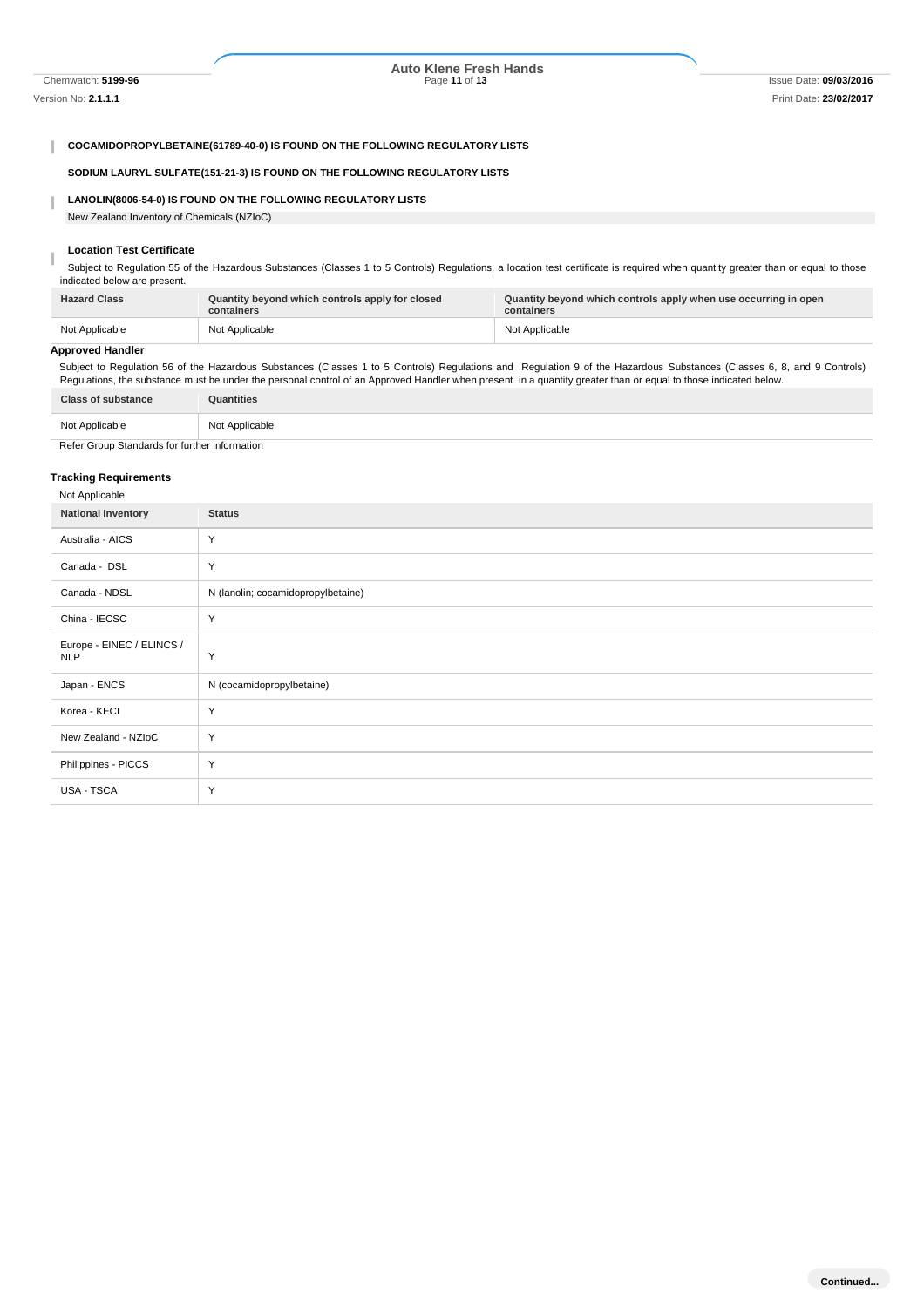I

## Chemwatch: **5199-96** Page **11** of **13** Issue Date: **09/03/2016 Auto Klene Fresh Hands**

#### **COCAMIDOPROPYLBETAINE(61789-40-0) IS FOUND ON THE FOLLOWING REGULATORY LISTS**

**SODIUM LAURYL SULFATE(151-21-3) IS FOUND ON THE FOLLOWING REGULATORY LISTS**

#### **LANOLIN(8006-54-0) IS FOUND ON THE FOLLOWING REGULATORY LISTS** I

New Zealand Inventory of Chemicals (NZIoC)

#### **Location Test Certificate**

Subject to Regulation 55 of the Hazardous Substances (Classes 1 to 5 Controls) Regulations, a location test certificate is required when quantity greater than or equal to those indicated below are present.

| <b>Hazard Class</b> | Quantity beyond which controls apply for closed<br>containers | Quantity beyond which controls apply when use occurring in open<br>containers |
|---------------------|---------------------------------------------------------------|-------------------------------------------------------------------------------|
| Not Applicable      | Not Applicable                                                | Not Applicable                                                                |

#### **Approved Handler**

Subject to Regulation 56 of the Hazardous Substances (Classes 1 to 5 Controls) Regulations and Regulation 9 of the Hazardous Substances (Classes 6, 8, and 9 Controls) Regulations, the substance must be under the personal control of an Approved Handler when present in a quantity greater than or equal to those indicated below.

| <b>Class of substance</b>                     | Quantities     |
|-----------------------------------------------|----------------|
| Not Applicable                                | Not Applicable |
| Refer Group Standards for further information |                |

#### **Tracking Requirements**

USA - TSCA Y

| Not Applicable                          |                                    |
|-----------------------------------------|------------------------------------|
| <b>National Inventory</b>               | <b>Status</b>                      |
| Australia - AICS                        | Y                                  |
| Canada - DSL                            | Y                                  |
| Canada - NDSL                           | N (lanolin; cocamidopropylbetaine) |
| China - IECSC                           | Y                                  |
| Europe - EINEC / ELINCS /<br><b>NLP</b> | Y                                  |
| Japan - ENCS                            | N (cocamidopropylbetaine)          |
| Korea - KECI                            | Y                                  |
| New Zealand - NZIoC                     | Y                                  |
| Philippines - PICCS                     | Y                                  |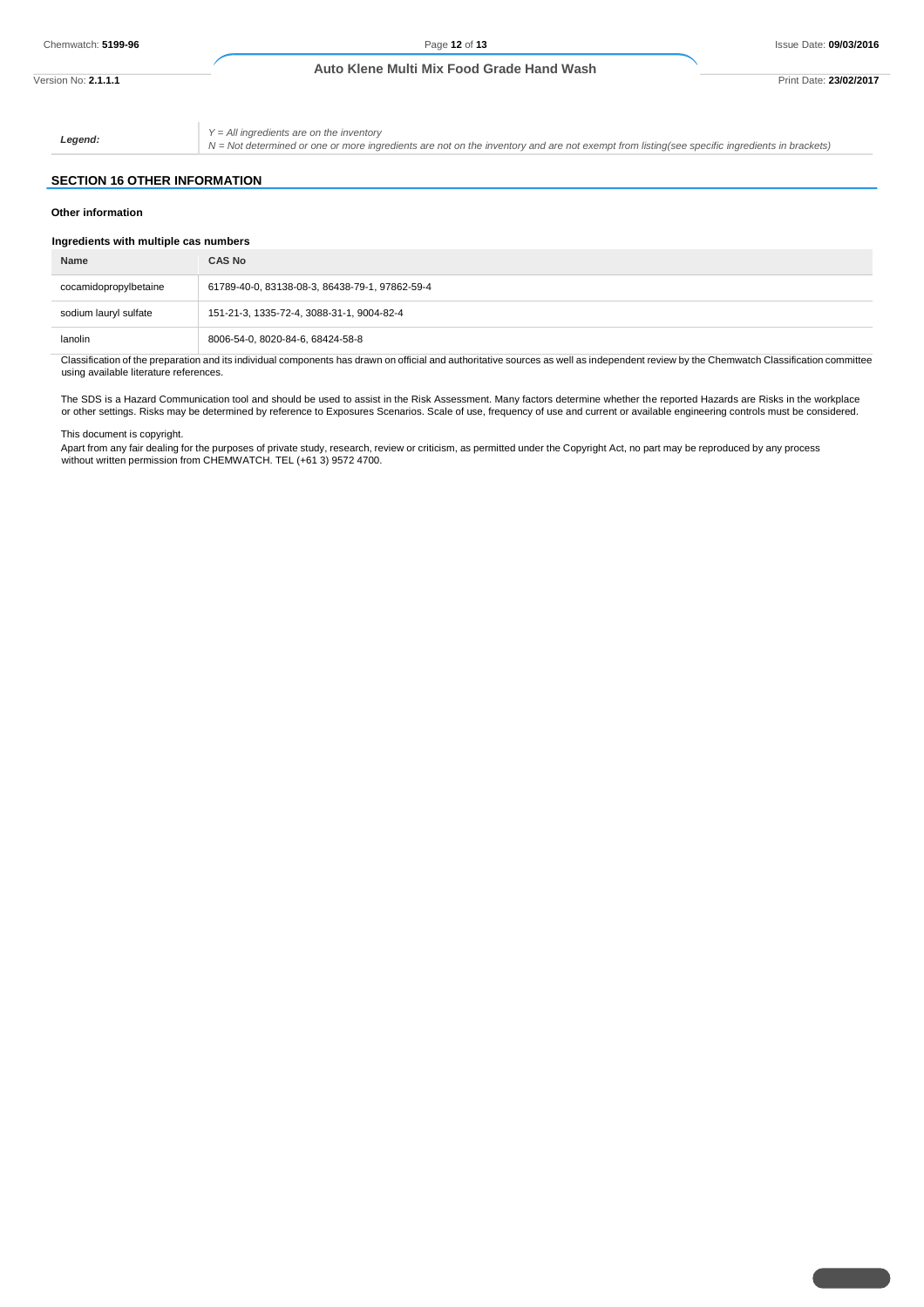#### **Auto Klene Multi Mix Food Grade Hand Wash**

Version No: **2.1.1.1** Print Date: **23/02/2017**

*Legend:*

*Y = All ingredients are on the inventory*

*N = Not determined or one or more ingredients are not on the inventory and are not exempt from listing(see specific ingredients in brackets)*

#### **SECTION 16 OTHER INFORMATION**

#### **Other information**

| Ingredients with multiple cas numbers |                                                |
|---------------------------------------|------------------------------------------------|
| Name                                  | <b>CAS No</b>                                  |
| cocamidopropylbetaine                 | 61789-40-0, 83138-08-3, 86438-79-1, 97862-59-4 |
| sodium lauryl sulfate                 | 151-21-3, 1335-72-4, 3088-31-1, 9004-82-4      |
| lanolin                               | 8006-54-0, 8020-84-6, 68424-58-8               |

Classification of the preparation and its individual components has drawn on official and authoritative sources as well as independent review by the Chemwatch Classification committee using available literature references.

The SDS is a Hazard Communication tool and should be used to assist in the Risk Assessment. Many factors determine whether the reported Hazards are Risks in the workplace or other settings. Risks may be determined by reference to Exposures Scenarios. Scale of use, frequency of use and current or available engineering controls must be considered.

This document is copyright.

Apart from any fair dealing for the purposes of private study, research, review or criticism, as permitted under the Copyright Act, no part may be reproduced by any process without written permission from CHEMWATCH. TEL (+61 3) 9572 4700.